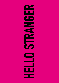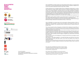#### **25 anni di MOTUS Bologna ottobre novembre dicembre 2016**











Teatri<sub>cl</sub>iVita



A cura di /*curated by*  Enrico Casagrande e Daniela Nicolò Coordinamento organizzativo/*organizational coordination* Elisa Bartolucci

HELLO STRANGER è il progetto speciale che la città di Bologna dedica a Motus in occasione dei 25 anni di attività. Un percorso nella poetica della compagnia riminese con spettacoli, installazioni, film, incontri verso direzioni inesplorate, alla ricerca di ogni "altro" possibile.

Compie venticinque anni la compagnia fondata da Enrico Casagrande e Daniela Nicolò: un anniversario importante per il gruppo, esploso negli anni Novanta con spettacoli di grande impatto emotivo e fisico, che ha saputo prevedere e raccontare alcune tra le più aspre contraddizioni del presente. Ha attraversato e creato tendenze sceniche ipercontemporanee, interpretando autori come Beckett, DeLillo, Genet, Fassbinder, Rilke o l'amato Pasolini, per approdare alla radicale rilettura di Antigone alla luce della crisi greca o a una Tempesta shakesperiana, interpolata da Aimé Césaire, capace di evocare la tragedia dell'emigrazione e di creare instant community in tutto il mondo.

Hanno ricevuto numerosi riconoscimenti, tra cui tre premi UBU e prestigiosi premi speciali per il loro lavoro.

Silvia Calderoni, attrice di Motus dal 2005, ha vinto diversi premi tra cui premio UBU come migliore attrice Italiana (2009), MArteAwards (2013), Elisabetta Turroni (2014) e Virginia Reiter (2015). Liberi pensatori, portano i loro spettacoli nel mondo, da Under the Radar (NYC), al Festival TransAmériques

(Montréal), Santiago a Mil (Cile), Fiba Festival (Buenos Aires), e in tutta Europa.

*HELLO STRANGER is the special project that the Municipality of Bologna dedicates to Motus to celebrate their 25th anniversary. A journey across the poetics of this company from Rimini, with performances, installations, films, gatherings towards unexplored directions, openings towards any possible "other".*

*The company founded by Enrico Casagrande and Daniela Nicolò celebrates its twenty-fifth anniversary, an important one for this group that burst onto the scene in the Nineties with productions wielding great physical and emotional impact and has always anticipated and portrayed some of the harshest contradictions of the present day.*

*It has experienced and created hyper- contemporary trends in the theatre, performing authors such as Beckett, DeLillo,Genet, Fassbinder, Rilke or their beloved Pasolini, leading to their radical reinterpretation of Antigone in the light of the Greek crisis, or Shakespeare's The Tempest, interpolated by Aimé Césaire, which powerfully evoked the tragedy of emigration and created instant communities around the world.*

*They've received numerous acknowledgements, including three UBU Prizes and prestigious special awards for their work.*

*Silvia Calderoni - their tireless protagonist - has worked with Motus since 2005 and is the winner of many awards that include "Best Italian Actress" honors UBU Prize, Elizabeth Turroni, Marte and Virginia Reiter Awards.* 

*Freethinkers, Motus have performed all over the world, from Under the Radar in New York, to Festival Trans Amériques in Montreal, Santiago a Mil (Chile), the Fiba Festival in Buenos Aires, as well as all over Europe.*

Motus dedica HELLO STRANGER alla instancabile compagna di viaggio e insostituibile collaboratrice Sandra Angelini, che con gioia ha contribuito al nascere di questo progetto, lasciando poi la compagnia all'improvviso, e nello smarrimento, nel gennaio 2016.

*Motus dedicates HELLO STRANGER to the ever present adventure companion and irreplaceable collaborator Sandra Angelini, who contributed with immense joy to the birth of this project and who suddenly passed away – leaving the company at immense loss – in January 2016.*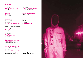# **CALENDARIO**

15 ottobre **HELLO STRANGER** incontro Arena del Sole

#### 18-22 ottobre **RAFFICHE** VIE Festival Hotel Carlton

19 ottobre-dicembre **scintille** ciclo filmico Cinema Lumìere

da ottobre **CHEAP** per **HELLO STRANGER**  street poster art bacheche affissive del centro storico

20-23 ottobre **Room** video installazione Atelier Sì

3-4 novembre **MDLSX** Gender Bender Festival Teatri di Vita

5 novembre **Ghost in the Shell** tavola rotonda Gender Bender Festival Laboratori delle Arti/Auditorium

3 dicembre **Come un cane senza padrone** Teatro Comunale Laura Betti

5 dicembre **Your whole life is a rehearsal**  The Plot is the Revolution video doc Laboratori delle Arti/Auditorium

7-8 dicembre **TOO LATE! (antigone) contest #2** Laboratori delle Arti/Teatro

10 dicembre **Alexis. Una tragedia Greca**  Arena del Sole

18 dicembre **HELLO STRANGER** presentazione del libro Atelier Sì

31 dicembre **THISVERYMOMENT** 

**hellostranger.it** 

**#hellostranger #motus25**

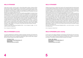# **HELLO STRANGER**

Creare tessuti connettivi, innescare reazioni a catena dalle traiettorie inattese, di apertura all'Altro/ straniero/strano/strange in senso geopolitico, ma anche filosofico, è presupposto del nostro ventennale, spericolato, incedere. Scegliamo Bologna, città-crocevia fondante di questo bastardo ricercar, per disseminarvi gli accadimenti di un progetto che di retrospettivo (e nostalgico) avrà ben poco. Più che celebrare i 25 anni di esistenza, intendiamo evocare (chiamare-fuori) e accendere nuovi fuochi all'impatto con l'atmosfera mutata del qui e ora.

Il titolo di questo progetto-speciale, (ma anche di una bella canzone di Barbara Lewis) viene da una fotografia di Terry Richardson, dove si vede la scritta "HELLO STRANGER" su un cartellone pubblicitario abbandonato, vicino a una recinzione di confine: non sappiamo dove sia stata scattata, ma in un certo senso il suo anonimato incarna l'ostinato indagare ai margini, verso quegli strani angeli spesso incontrati ed evocati anche dalle casuali combinazioni linguistiche che il designer Damir Jellici ha fatto scaturire dal titolo. Il Welcoming/Hello è dunque invito aperto all'accoglienza dello straniero-prossimo-altro-diverso ma anche segno di pace verso le parti buie e "selvatiche" di noi stessi, verso quella moltitudine rumorosa che ci abita e che, non ascoltando, temiamo, perché "(…) Un nemico è qualcuno di cui non hai ascoltato la storia" (Wendy Brown, *Tolerance in the Age of Identity and Empire*). Di riflesso a questa pulsione quasi ossessiva a rendere porosi i confini del mondo teatrale, tutte le opere qui in programma paiono come sfaccettature della stessa urgenza: quella di ridefinire le identità, o meglio "disfarle" e far sussultare la ottusa logica binaria della mentalità occidentale. Ci proviamo e vi aspettiamo.

A seguire le parole della drammaturga Magdalena Barile - nuova compagna di viaggio - che "raccontano" gli eventi in programma.

Enrico Casagrande, Daniela Nicolò

# **HELLO STRANGER incontro**

In occasione dell'allestimento di RAFFICHE, spettacolo presentato nell'ambito di VIE Festival 2016, l'Assessore alla Cultura del Comune di Bologna, Bruna Gambarelli apre una riflessione sui 25 anni di attività di Motus assieme a Enrico Casagrande e Daniela Nicolò, registi e fondatori della compagnia. All'incontro saranno presenti anche le attrici di RAFFICHE.

**15 ottobre h 17.00 Arena del Sole, Via dell'Indipendenza, 44 ingresso libero viefestivalmodena.com/vie2016**

# *HELLO STRANGER*

*Creating connective tissues, catalyzing chain reactions with unexpected trajectories opening towards the Other/foreigner/stranger/strange in a geopolitical, but also philosophical, sense, is the premise of our daring path forward of the last twenty-five years. We choose Bologna, founding crossroad-city of this bastard research, in order to disseminate the events of a project that can barely be called retrospective (or nostalgic). More than celebrating 25 years of existence, we intend to evoke (to e-voke, call out) and light new fires in the impact with the atmosphere of the here and now.* 

*The title of this project (as well as of a beautiful song by Barbara Lewis) is a quote from a photo by Terry Richardson in which the words "HELLO STRANGER" appear on an abandoned billboard next to a border fence. We do not know where this picture was taken. Its anonymity, however, embodies our stubborn investigation at the margins, towards those strange angels that often we run into and that are evoked here also thanks to the random linguistic combinations that Damir Jellici, inspired by our working title, allowed to flow. The Welcoming/Hello is thus an open invitation to welcome the stranger-other-different but also a sign of peace towards the darkest and "wildest" parts of ourselves. Towards that noisy multitude that inhabits us and, as we do not hear it, we become afraid, because "an enemy is someone whose story you have not heard," (Wendy Brown,* Tolerance in the Age of Identity and Empire*.) As a reflection of this almost obsessive impulse of ours to make the borders of the theatre world porous, all the events scheduled here appear as facets of the same urgency; the urgency to redefine identities, or rather to "undo" them and to startle the obtuse binary logic of the Western mentality. We'll try and be waiting for you.* 

*Here below a few words by the playwright Magdalena Barile – a new travel companion – who "tells" the schedule events.*

*Enrico Casagrande, Daniela Nicolò*

**5**

### *HELLO STRANGER public meeting*

*On the occasion of the staging of RAFFICHE, world premiere at VIE Festival 2016, the council member for culture of the municipality of Bologna, Bruna Gambarelli, opens a reflection on the 25 years of activity of Motus together with Enrico Casagrande and Daniela Nicolò, directors and founders of the company. The actresses of RAFFICHE will also be present at the meeting.*

*October 15th, 5.00 pm Arena del Sole, Via dell'Indipendenza, 44 free entrance viefestivalmodena.com/vie2016*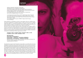### **RAFFICHE** RAFALES > MACHINE (CUNT) FIRE

dedicato a/*dedicated to* Splendid's di Jean Genet regia/*directed by* Enrico Casagrande e Daniela Nicolò con/*with* Silvia Calderoni (Jean), Ilenia Caleo (Rafale), Sylvia De Fanti (Bravo), Federica Fracassi (il Poliziotto), Ondina Quadri (Pierrot), Alexia Sarantopoulou (Riton), Emanuela Villagrossi (Scott), I-Chen Zuffellato (Bob) la voce della radio/*the voice on the radio* Luca Scarlini e Daniela Nicolò testo/*written by* Magdalena Barile e Luca Scarlini

una produzione/*produced by* Motus con ERT- Emilia Romagna Teatro Fondazione con la collaborazione di/*with the collaboration of* Biennale Teatro 2016; L'arboreto - Teatro Dimora, Mondaino; Santarcangelo Festival Internazionale del Teatro in Piazza; Teatro Petrella, Longiano con il sostegno di/*with the support of* MiBACT, Regione Emilia Romagna,

Comune di Bologna

Questo spettacolo non esisterebbe se i diritti di un testo teatrale, scritto da un magnifico autore che amava la trasgressione e la tolleranza fossero un diritto di tutti. Ma così non è. Bisogna ubbidire alle regole di un copywriting internazionale che tradisce le parole che tutela. Ma è proprio dal divieto di mettere in scena *Splendid's* di Jean Genet che nasce l'opportunità di una scrittura originale, per rilanciare una sfida ai censori. Nascono le RAFFICHE!

Otto donne, hanno nomi maschili, corpi che mutano, mitra puntati contro il potere. Le RAFFI-CHE sono una banda di rivoltose dell'identità che rivendica la libertà di autodeterminazione, di esistere al di fuori dei ruoli e degli schemi di una società che attua le sue leggi sui corpi delle persone. È un corpo a corpo con lo spettatore questa pièce per suite d'albergo dove la musica, la danza, le parole e il pensiero queer si fa tutt'uno per uno spettacolo manifesto che affronta in modo gioioso a antiideologico tematiche oggi sempre più centrali.

**18 ottobre h 19.00 - 19 ottobre h 20.00 - 20 ottobre h 18.00 + h 21.00 21 ottobre h 17.00 + h 21.00 - 22 ottobre h 17.00**

#### **VIE Festival 2016**

**6**

**Hotel Carlton, Via Montebello, 8 prima assoluta - a pagamento - prenotazione obbligatoria**  *world premiere - paid admission* **-** *compulsory reservation* Biglietteria telefonica – tel. 059/2136021 dal lunedì al venerdì dalle ore 9.00 alle 13.00 e/o presso qualsiasi biglietteria di VIE Festival 2016 viefestivalmodena.com/vie2016

*This performance would not exist if the rights of a play written by a wonderful author who loved transgression and tolerance were everyone's right. But that's not the case. We must obey the international copyright rules that betray the words they protect. But it is precisely from the prohibition to stage Jean Genet's* Splendid's *that has emerged the opportunity for a new play, in order to challenge the censors right back. That's how the RAFFICHE | Machine (Cunt) Fire are born! Eight women, with male names, mutating bodies, machine guns aimed at the power. The RAFFICHE | Machine (Cunt) Fire are a gang of identity rebels who affirm the freedom of self-determination, the freedom to exist beyond the roles and patterns of a society that puts its laws into effect on people's bodies. This show for hotel suite wrestles with the audience, as queer music, dance, words and thought merge into a single element, a manifesto-performance that tackles joyfully and anti-ideologically themes more and more at the core of our society.*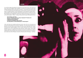### **scintille**

Un ciclo filmico affianca gli spettacoli in programma con documenti ad hoc o film di autori che hanno influito sull'immaginario della compagnia. Si comincia con la proiezione del video dello spettacolo *Splendid's* (2004) di Jean Genet (19 ottobre h 17.30 introduce Luca Scarlini, replica + h 19.00), tratto dall'unico testo teatrale messo in scena da Motus, nel 2002: era nel cuore di Rooms, un progetto dedicato a stanze delle apparizioni, in cui comparivano fantasmi dell'Occidente. Quelle immagini tornano oggi in contrappunto a *RAFFICHE* che, da quella drammaturgia, trae ispirazione, s-travolgendola. *scintille* si concluderà in dicembre con un focus, a cura di Cristina Valenti, sulla filmografia del Living Theatre, rivoluzionaria compagnia newyorkese che con la città di Bologna - e Motus - ha spesso e felicemente incrociato il dirompente cammino.

**dal 19 ottobre a dicembre Cineteca di Bologna, Cinema Lumìere, Piazzetta P. P. Pasolini, 5/b (ingresso via Azzo Gardino, 65) a pagamento/***paid admission* **Il programma dettagliato delle proiezioni sarà disponibile su cinetecadibologna.it e hellostranger.it**

*A film cycle brings the scheduled performances side by side with ad hoc documents and art films that have influenced the company's imagination. This cycle will be launched by the projection of the 2004 video of Motus's production of Jean Genet's* Splendid's *(19th October). The only play ever integrally staged by Motus, in 2002, it was the core of Rooms, a project dedicated to the rooms of apparitions, in which appeared Western ghosts. Those images resurface today as a counterpoint to* RAFFICHE *which, in turn, draws inspiration from that dramaturgy, overturning it.* scintille *will be concluded in December by a special focus curated by Cristina Valenti on the filmography of the Living Theatre, the revolutionary New York-based theatre company that often and happily crossed (and shattered) paths with Bologna – and Motus.* 



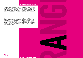# **CHEAP** per **HELLO STRANGER**

Tre diversi interventi di street poster art a cura di Cheap, realizzati con tecniche differenti, accompagneranno il progetto durante il suo intero periodo di svolgimento. Nella prima fase sarà protagonista la grafica grazie all'intervento di Damir Jellici; la seconda sarà imperniata sulla fotografia e presenterà una selezione di immagini di scena dai diversi spettacoli di Motus realizzate dai numerosi fotografi che hanno collaborato con la compagnia; la terza sarà interamente realizzata in illustrazione da Andrea Bruno. I poster verranno installati nelle ex tabelle affissive del centro storico.

#### **da ottobre centro storico**

*Three different street poster art interventions curated by Cheap, realized with various techniques, will accompany the project during the whole of its duration. In the first phase graphics will be protagonist, thanks to Damir Jellici's intervention. The second phase will focus on photography and will present a selection of pictures taken from the various Motus performances by the numerous photographers who collaborated with the company. The third will be entirely*  realized with illustrations by Andrea Bruno. The posters will be installed in the ex billposting *boards in Bologna old town.*

**CHEAP** per **HELLO STRANGER**







**10**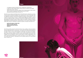#### **Room**

un'installazione ideata da/*created by* Enrico Casagrande e Daniela Nicolò in video/*in the video*: Vladimir Aleksic, Renaud Chauré, Eva Geatti, Dany Greggio, Caterina Silva e Damir Todorovic

operatori video/*video* cameramen: Barbara Fantini, Daniele Quadrelli, Vladimir Aleksic video contribution engineering: Simona Diacci e Giovanni Ghirelli produzione/*produced by* Motus e Riccione TTV

*Twin Rooms* (uno spettacolo del 2002) esplorava il limite della visione, sdoppiando una stanza d'hotel tra realtà e riproduzione digitale. È una macchina scenica dove la tecnologia opera con leggerezza e discrezione nelle maglie della rappresentazione, creando slittamenti e corto circuiti fra la forma teatrale, la videoarte e un'indagine sul montaggio cinematografico. Le azioni si ripetono mutando di segno e di senso, mentre echeggia la letteratura urbana e violenta di Don De Lillo, Breat Easton Ellis e James Ellroy, triturati in un montaggio visionario di frammenti. Nell'installazione scompare la stanza e restano soltanto gli schermi a contenere le presenze digitali degli attori, filmate alla replica del 14 gennaio 2004 a "Le Lieu Unique" di Nantes. Ferisce vedere Damir Todorovic, straordinario e dolcissimo interprete, scomparso nell'ottobre 2014.

**dal 20 al 23 ottobre h 18.00 -23.00 Atelier Sì, Via San Vitale, 69 ingresso libero/***free entrance* **ateliersi.it**

Twin Rooms *(a 2002 production) explored the limits of vision, splitting a hotel room between*  fiction and digital reproduction. It was a scenic machine where technology operates lightly and *discretely through the mesh of representation, as it created court-circuits across the theatrical and video art forms as well as the investigation of film editing. The actions were repeated, provoking a continuous change of meaning, as Don De Lillo's, Breat Easton's and James Ellroy's violent and urban literature, ground in a visionary edit of fragments, was echoed. In this installation, the room disappears. Only the screens remain to contain the digital figures of the actors, filmed during the performance of January 14th 2004 at "Le Lieu Unique" in Nantes. It hurts seeing Damir Todorovic, extraordinary and the sweetest performer, who sadly passed away in October 2014.* 

**Room**

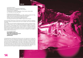# **MDLSX**

#### con/*with* Silvia Calderoni

regia/*directed by* Enrico Casagrande e Daniela Nicolò drammaturgia/*written by* Daniela Nicolò e Silvia Calderoni suoni/*sound* Enrico Casagrande in collaborazione con/*with the collaboration of* Paolo Panella e Damiano Bagli luci e video/*lights and video* Alessio Spirli

produzione/*produced by* Motus 2015

in collaborazione con/*with the collaboration of* La Villette - Résidence d'artistes 2015 Parigi, Create to Connect (EU project) Bunker/ Mladi Levi Festival Lubiana, Santarcangelo 2015 Festival Internazionale del Teatro in Piazza, L'arboreto - Teatro Dimora di Mondaino, MARCHE TEATRO con il sostegno di/*with the support of* MiBACT, Regione Emilia Romagna

Un dio ermafrodito metà femmina e metà maschio nuota nella piscina magica di un freakshow. Gli spettatori pagano per guardare quello strano fiore che sfugge a ogni nozione stereotipata di sessualità.

Cal è un ragazzo che è nato bambina. Nella lingua dei padri le parole per chiamare una bambina che diventa maschio, ci sono, ma vengono sussurrate come un segreto oscuro: un caso clinico, un mostro. Le parole spesso hanno il limite di semplificare le questioni, la musica no. Silvia Calderoni evoca in un dionisiaco DJ set i suoni, le immagini e i riti della sua adolescenza (vista nelle video testimonianze del passato) e insieme mixa un inno d'amore a una nuova identità universale. La storia di Silvia, la storia di Cal, le storie di mostri bellissimi che sognano e fanno sognare. *MDLSX* è uno spettacolo cult che prova a immaginare nuove strategie di resistenza al binomio genere/sesso.

**3 e 4 novembre h 21.00 Gender Bender Festival 2016 Teatri di Vita, Via Emilia Ponente, 485 a pagamento/***paid admission* **genderbender.it**

*A hermaphrodite god, half female and half male, swims in the magic pool of a freak show. Spectators pay to see that strange flower that eludes any stereotyped notion of sexuality. Cal is a boy who was born a girl. In the tongue of the fathers, the words to call a girl who becomes a boy exist, but they are whispered like a dark secret: a clinical case, a monster. The words often have the limit of simplifying matters, music doesn't. Silvia Calderoni evoked the sounds, the images and the rites of her adolescence (seen through past testimonies) in a Dionysian DJ set and, at the same time, she mixes a love hymn to a new universal identity. Silvia's story, Cal's story, the stories of beautiful monsters that dream and make others dream.* MDLSX *is a cult performance that tries to imagine new strategies to resist the gender/sex binomial.* 

**MDLSX**



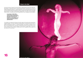# **Ghost in the Shell**

Una tavola rotonda sul rapporto tra scena artistica e rappresentazione performativa delle identità di genere. La giornata di studio è curata da Gender Bender in partnership con il Centro La Soffitta del Dipartimento delle Arti - Università di Bologna e invita nel capoluogo emiliano alcuni dei nomi più interessanti della ricerca filosofica, artistica e sociale presenti oggi in Italia sul tema delle identità di genere. Tra i relatori, Chiara Saraceno, Sergia Adamo, Luca Greco, Anna Laura Mariani, Viviana Gravano. Partecipano all'incontro Daniela Nicolò, Enrico Casagrande, Silvia Calderoni.

**5 novembre h 15.00-19.00 Gender Bender Festival 2016 Laboratori delle Arti/Auditorium Piazzetta P. P. Pasolini, 5/b (ingresso via Azzo Gardino, 65) ingresso libero/***free entrance* **genderbender.it** 

*A roundtable on the relationship between the artistic stage and the performative representation of gender identities. This day is organized by Gender Bender in partnership with the Centro La Soffitta del Dipartimento delle Arti - Università di Bologna, and it gathers in Bologna some of Italy's most interesting names in the realm of philosophical, artistic and social research on the theme of gender identity. Among the speakers, Chiara Saraceno, Sergia Adamo, Luca Greco, Anna Laura Mariani, Viviana Gravano. Daniela Nicolò, Enrico Casagrande, Silvia Calderoni will also take part in the discussion.*

**Ghost in the Shell**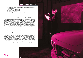### **Come un cane senza padrone**

ideato e diretto da/*conceived and directed by* Enrico Casagrande e Daniela Nicolò con/*with* Dany Greggio narratrice/*narrator* Emanuela Villagrossi cura dei testi/*text editing* Daniela Nicolò editing audio Enrico Casagrande riprese e montaggio video/*video shooting and editing* Simona Diacci assistenza tecnica/*technical assistance* Valeria Foti

produzione/*produced by* Motus e Théâtre National de Bretagne, Rennes (Francia) in collaborazione con/*with the collaboration of* Teatro Mercadante di Napoli - progetto Petrolio e il sostegno di/*with the support of* Provincia di Rimini, Regione Emilia Romagna

*Come un cane senza padrone*, l'immagine si muove irrequieta, mette alla prova i limiti della rappresentazione e della definizione dell'identità. Quattro grandi schermi proiettano frammenti di periferie romane on the road, quelle celebrate da Pier Paolo Pasolini nel suo estremo *Petrolio*, uscito postumo, scrittura cerimoniale dell'autodistruzione e della rinascita, vissuta da Carlo, il protagonista che cambia sesso e natura lungo il Pratone del Casilino. Un'automobile, oggetto tridimensionale, ingombrante, invade il palcoscenico. A Emanuela Villagrossi il compito di narrare un'avventura di corpi esposti, aperti al cambiamento e alla metamorfosi, segnati dalle leggi impietose del desiderio e della rivolta agli stereotipi dell'identità, mentre Dany Greggio e Frank Provvedi corrono contro il tempo, sullo sfondo di sobborghi ormai fuori dalla Storia.

**3 dicembre h 21.00 Teatro Comunale Laura Betti Piazza del Popolo, 1 Casalecchio di Reno a pagamento/***paid admission* **teatrocasalecchio.it**

Come un cane senza padrone*, the image is restless, and challenges the limits of the representation and definition of identity. On four big screens are projected fragments of Rome's suburbs*  shot on the road, those same suburbs celebrated by Pier Paolo Pasolini in his extreme Petrolio, *published posthumously. A ceremonial writing of the self-destruction and rebirth lived by Carlo, the protagonist who changes sex and nature along Pratone del Casilino. A car, a three-dimensional bulky object, invades the stage. Emanuela Villagrossi is given the task to tell an adventure of exposed bodies, open to change and metamorphosis, marked by the ruthless laws of desire and of the rebellion against identity stereotypes. In the meantime, Dany Greggio e Frank Provvedi race against time, against a background of suburbs now vanished from history.* 



**Come un cane senza padrone**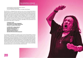### **Your whole life is a rehearsal** The Plot is the Revolution video doc

un documentario a cura di/*a documentary curated by* Enrico Casagrande e Daniela Nicolò, con*/with* Judith Malina, Silvia Calderoni, Tom Walker e Brad Burgess

*Your whole life is a rehearsal (for the moment you are in now)* è il documentario delle due settimane trascorse nel 2011 da Motus nello storico teatro del Living Theater a New York in Clinton Street, che ora non esiste più. Da quell'incontro scandito da dinamiche più personali che teatrali è nata la performance *The Plot is the revolution* (il titolo cita una frase dello storico *Paradise Now* del Living) con Judith Malina e Silvia Calderoni, insieme a Tom Walker e Brad Burgess. Nelle immagini di backstage si respira un'atmosfera che non è solo di creazione artistica, ma costruzione di un rapporto di conoscenza. Silvia allena il suo corpo alle parole di Judith e scandisce una partitura di domande a cui Judith non vuole rispondere mai allo stesso modo. Queste non sono le prove di uno spettacolo: non si può mettere limite a un'avventura che è prima di tutto un potente atto di vita. Living. Judith Malina è morta serenamente in una casa di riposo in New Jersey il 10 aprile 2015.

**5 dicembre h 16.00 con Daniela Nicolò, Enrico Casagrande, Silvia Calderoni, Tom Walker, Brad Burgess Introduce e coordina Cristina Valenti**

**La Soffitta 2016 - Antigone Rewind Laboratori delle Arti/Auditorium Piazzetta P. P. Pasolini, 5/b (ingresso via Azzo Gardino, 65) ingresso libero/***free entrance* **dar.unibo.it/it/ricerca/centri/soffitta/2016**

Your whole life is a rehearsal (for the moment you are in now) *is the documentary on the two weeks that Motus spent in 2011 in the historical building of the Living Theater, that does not exist anymore, on Clinton Street (New York). From that encounter, paced more by personal than theatrical dynamics, was born the performance* The Plot is the revolution *(whose title quotes a line from the historical production* Paradise Now *by the Living Theatre) with Judith Malina and Silvia Calderoni, together with Tom Walker and Brad Burgess. In these backstage images is tangible an atmosphere that exhales not only artistic creation, but also a mutual getting to know each other. Silvia trains her body to match Judith's words and speaks a score of questions that Judith never wants to answer in the same way. These are not the rehearsals of a show: no limit can be placed upon an adventure that is, more than anything, a powerful act of life. Of Living. Judith Malina peacefully passed away in a home in New Jersey on April 10th, 2015.* 



**Your whole life is a rehearsal**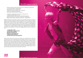# **TOO LATE! (antigone) contest #2**

ideazione e regia /*conceived and directed by* Enrico Casagrande e Daniela Nicolò con/*with* Silvia Calderoni e Vladimir Aleksic drammaturgia /*written by* Daniela Nicolò ambiente sonoro/*sound ambience* Enrico Casagrande fonica */sound engineering* Andrea Gallo direzione tecnica/*technical direction* Valeria Foti

un progetto in collaborazione con/*a project in collaboration with* Fondazione del Teatro Stabile di Torino e Festival delle Colline Torinesi e il supporto di/*and the support of* Magna Grecia Festival '08, L'Arboreto – Teatro Dimora di Mondaino, Regione Emilia Romagna e Ministero della Gioventù – Progetto GECO

Vladimir Aleksic porta la maschera di Creonte, ma il suo dittatore parla anche la lingua di Milosević e le ragioni di ogni ottusa autorità. Silvia Calderoni è Emone, il figlio che si ribella al padre Creonte ma anche Antigone, la nipote, la ragazza che con i suoi gesti d'amore sfida le leggi del potere. In scena sono due corpi che duellano e poi si confidano. Si scambiano ricordi intimi e poi si minacciano di morte. Dentro e fuori dal reale, dentro e fuori dalla tragedia di Antigone si consuma una relazione impossibile che gioca con i limiti del potere e della famiglia. I conflitti politici sono conflitti famigliari e la politica è una famiglia disfunzionale da sabotare in un confronto che è pubblico e privato allo stesso tempo. Nella performance emergono echi dall'Antigone del Living Theatre: il Too late! che echeggiava ipnotico nel coro ne è diventato il titolo.

**7 e 8 dicembre h 21.00 La Soffitta 2016 - Antigone Rewind Laboratori delle Arti/Teatro Piazzetta P. P. Pasolini, 5/b (ingresso via Azzo Gardino, 65) a pagamento/paid admission dar.unibo.it/it/ricerca/centri/soffitta/2016**

*Vladimir Aleksic wears Creon's mask, but his dictator also speaks Milosević's tongye and the reasons of any narrow-minded authority. Silvia Calderoni is Hæmon, the son who rebels against his father Creon, as well as Antigone, the niece, the girl who, with her gestures of love, defies the laws of power. On stage, there are two bodies that fight at first, and then confide in one another. They exchange intimate memories and then utter death threats to one another. Inside and outside of the real, inside and outside of Antigone's tragedy, is consummated an impossible relationship played at the limits of power and family. Political conflicts are family conflicts, and politics are a dysfunctional family to sabotage during a struggle that is both private and public. In this performance emerge echoes of the Living Theatre's Antigone: the Too late! that hypnotically echoed in the chorus has become the title.* 



**OL ATEL/ontigonal con**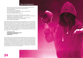# **Alexis. Una tragedia greca**

ideazione e regia /*conceived and directed by* Enrico Casagrande e Daniela Nicolò con/*with* Silvia Calderoni, Vladimir Aleksic, Massimiliano Rassu, Alexandra Sarantopoulou drammaturgia /*written by* Daniela Nicolò luci e scena /*lights and set design* Enrico Casagrande e Daniela Nicolò fonica /*sound engineering* Andrea Gallo direzione tecnica /*technical direction Valeria Foti*

produzione/*produced by* Motus, Emilia Romagna Teatro Fondazione, Espace Malraux - Scéne Nationale de Chambéry et de la Savoie - CARTA BIANCA, programme Alcotra coopération France-Italie, Théâtre National de Bretagne/Rennes e il Festival delle Colline Torinesi con il sostegno di/*with the support of* Provincia di Rimini, Regione Emilia Romagna, MiBACT

Nel quartiere di Exarchia ad Atene la polizia non entra perché ha paura. I muri sono animati da scritte e immagini potenti che urlano la protesta. Remember Remember the sixth of december. Hanno ucciso un ragazzo, Alexis. Le A di Alexis e di Anarchia sono le A di Antigone. Silvia Calderoni è Antigone ma in scena cerca anche di ricostruire un percorso fra la tragedia greca contemporanea e quella antica di una sorella che disobbedisce alle leggi dello Stato per seguire le sue. Al suo fianco Alexandra Sarantopoulou è la testimone diretta di quell'aria avvelenata di lacrimogeni. La tragedia, antica e presente, non è solo la morte, ma sono le leggi liberticide che annullano il futuro delle nuove generazioni. Che fare? Bisogna captare "quella sommossa che in basso ribolle", il frastuono della moltitudine. Perché un gesto potente è più forte se a farlo siamo in tanti e "veniamo dal futuro".

**10 dicembre, h 19.30 Arena del Sole, Via dell'Indipendenza, 44 a pagamento/paid admission arenadelsole.it**

*Out of fear, the police do not enter the Exarchia neighborhood in Athens. The walls are enlivened by powerful writing and images that scream protest. Remember Remember the sixth of December. They killed a teenager, Alexis. The As in Alexis and Anarchy are the same as the A in Antigone. Silvia Calderoni is Antigone, but on stage she also tries to recreate a path between this contemporary Greek tragedy and the ancient tragedy of a sister who disobeys State rules to obey her own. Next to her, Alexandra Sarantopoulou is the direct witness of that air poisoned by tear gasses. The tragedy, ancient and current, is not only death, but the liberticidal laws that obliterate the future of the new generations. What to do? We must sense, in "that uprising boiling downstairs", the uproar of the multitude. Because a powerful gesture is stronger if we are many performing it, and if "we come from the future."* 



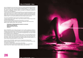# **HELLO STRANGER - il libro**

HELLO STRANGER è anche titolo del nuovo libro di e su Motus pubblicato dalla casa editrice Damiani di Bologna. Aperto da una introduzione di Wlodek Goldkorn, è un "atlante di immagini", tratte dai quasi cento spettacoli realizzati e di frammenti testuali; non ha andamento cronologico o storiografico, ma natura esplosa e rizomatica, non disvelando la passione di Motus per l'arte delle deflagrazioni...

La linea portante compositiva è il corpo/body dell'attore come macchina dei sentimenti, come ospite sacro-straniero con cui Motus ha lottato, costruito, distrutto e trasmutato il proprio segno artistico. Le parole sono colonna sonora polifonica, composta di brevi scritti della compagnia, amici, artisti, curatori: dei compagni di avventure e sventure di quel "teatro per bande e predatori solitari", come lo definì profeticamente Antonio Attisani nei primi anni '90.

Il libro HELLO STRANGER è ideato da Enrico Casagrande e Daniela Nicolò,

composto graficamente da Damir Jellici, curato da Laura Gemini e Giovanni Boccia Artieri, coordinato da Elisa Bartolucci.

Interventi di: Wlodek Goldkorn (introduzione), Silvia Bottiroli, Laura Gemini e Giovanni Boccia Artieri, Didier Plassard, Fabio Acca e Silvia Mei, Oliviero Ponte di Pino, Melanie Joseph, Matthieu Goeury, Jean-Louis Perrier.

**18 dicembre h 18.00 presentazione del libro con gli autori Atelier Sì, Via San Vitale, 69 ingresso libero/***free entrance* **ateliersi.it**

*HELLO STRANGER is also the title of the book by and on Motus published by Damiani in Bologna. With an introduction by Wlodek Goldkorn, it is an "atlas of images" taken from almost a hundred performances by Motus, as well as an atlas of textual fragments. In no chronological or historiographical order, it rather has a rhizomatic and exploded nature, that does not hide Motus's passion for the art of deflagrations...*

*The composing pillar is the actor's body as a feeling machine, as the sacred-foreign guest with whom we have fought, built, destroyed and transformed the sign of their artistic doing, without interruptions. These words are like a polyphonic soundtrack, made of short pieces by the company, artists, curators: travel companions in that "theatre for gangs and solitary predators," as Antonio Attisani prophetically defined it in the early 1990s.*

*The book HELLO STRANGER, created by Enrico Casagrande and Daniela Nicolò, graphic composition by Damir Jellici, curated by Laura Gemini and Giovanni Boccia Artieri, coordinated by Elisa Bartolucci.*

*Interventions by: Wlodek Goldkorn (introduction), Silvia Bottiroli, Laura Gemini and Giovanni Boccia Artieri, Didier Plassard, Fabio Acca and Silvia Mei, Oliviero Ponte di Pino, Melanie Joseph, Matthieu Goeury, Jean-Louis Perrier.* 



**HELLO STRANGER - il libro**